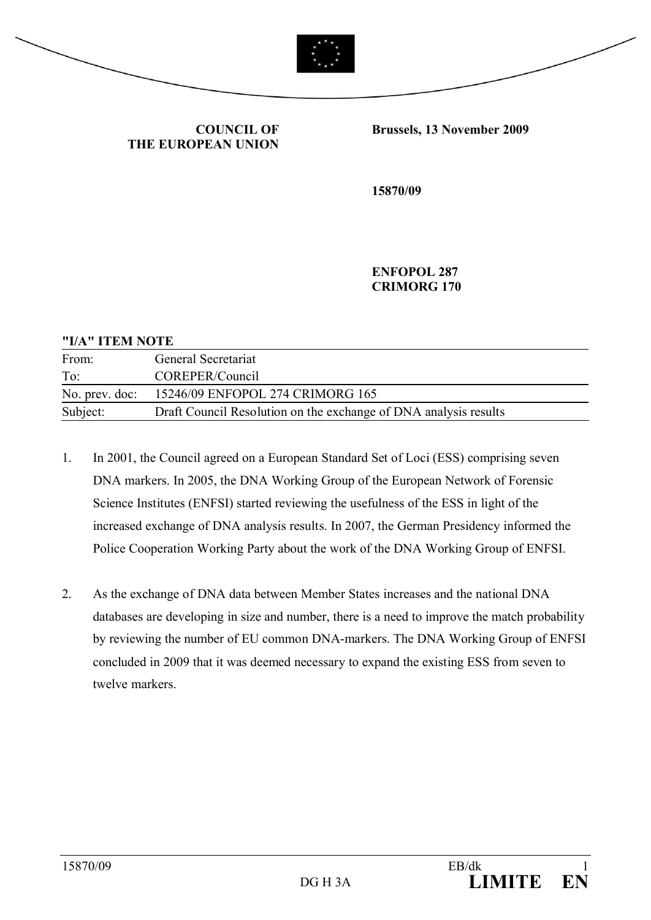



**COUNCIL OF THE EUROPEAN UNION** **Brussels, 13 November 2009**

**15870/09**

**ENFOPOL 287 CRIMORG 170**

#### **"I/A" ITEM NOTE**

| From:          | General Secretariat                                              |
|----------------|------------------------------------------------------------------|
| To:            | COREPER/Council                                                  |
| No. prev. doc: | 15246/09 ENFOPOL 274 CRIMORG 165                                 |
| Subject:       | Draft Council Resolution on the exchange of DNA analysis results |

- 1. In 2001, the Council agreed on a European Standard Set of Loci (ESS) comprising seven DNA markers. In 2005, the DNA Working Group of the European Network of Forensic Science Institutes (ENFSI) started reviewing the usefulness of the ESS in light of the increased exchange of DNA analysis results. In 2007, the German Presidency informed the Police Cooperation Working Party about the work of the DNA Working Group of ENFSI.
- 2. As the exchange of DNA data between Member States increases and the national DNA databases are developing in size and number, there is a need to improve the match probability by reviewing the number of EU common DNA-markers. The DNA Working Group of ENFSI concluded in 2009 that it was deemed necessary to expand the existing ESS from seven to twelve markers.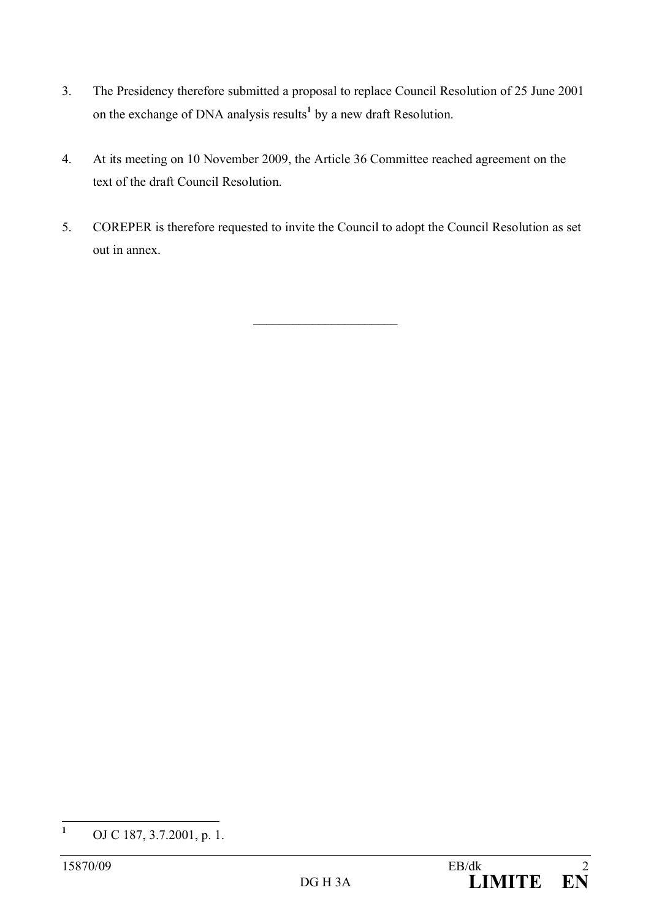- 3. The Presidency therefore submitted a proposal to replace Council Resolution of 25 June 2001 on the exchange of DNA analysis results**<sup>1</sup>** by a new draft Resolution.
- 4. At its meeting on 10 November 2009, the Article 36 Committee reached agreement on the text of the draft Council Resolution.
- 5. COREPER is therefore requested to invite the Council to adopt the Council Resolution as set out in annex.

 $\overline{\phantom{a}}$  , where  $\overline{\phantom{a}}$ 

**<sup>1</sup>** OJ C 187, 3.7.2001, p. 1.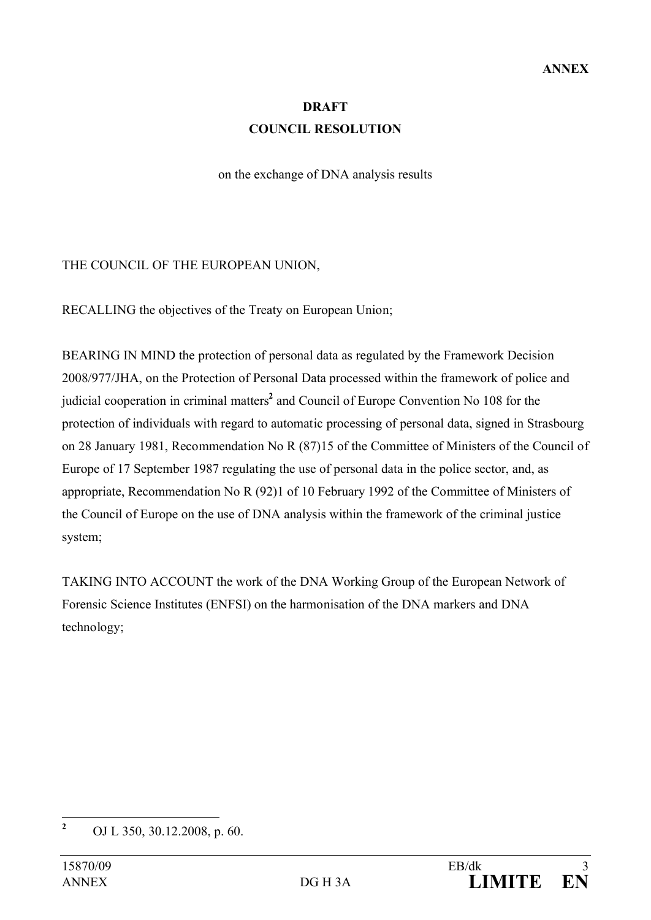# **DRAFT COUNCIL RESOLUTION**

on the exchange of DNA analysis results

## THE COUNCIL OF THE EUROPEAN UNION,

RECALLING the objectives of the Treaty on European Union;

BEARING IN MIND the protection of personal data as regulated by the Framework Decision 2008/977/JHA, on the Protection of Personal Data processed within the framework of police and judicial cooperation in criminal matters**<sup>2</sup>** and Council of Europe Convention No 108 for the protection of individuals with regard to automatic processing of personal data, signed in Strasbourg on 28 January 1981, Recommendation No R (87)15 of the Committee of Ministers of the Council of Europe of 17 September 1987 regulating the use of personal data in the police sector, and, as appropriate, Recommendation No R (92)1 of 10 February 1992 of the Committee of Ministers of the Council of Europe on the use of DNA analysis within the framework of the criminal justice system;

TAKING INTO ACCOUNT the work of the DNA Working Group of the European Network of Forensic Science Institutes (ENFSI) on the harmonisation of the DNA markers and DNA technology;

**<sup>2</sup>** OJ L 350, 30.12.2008, p. 60.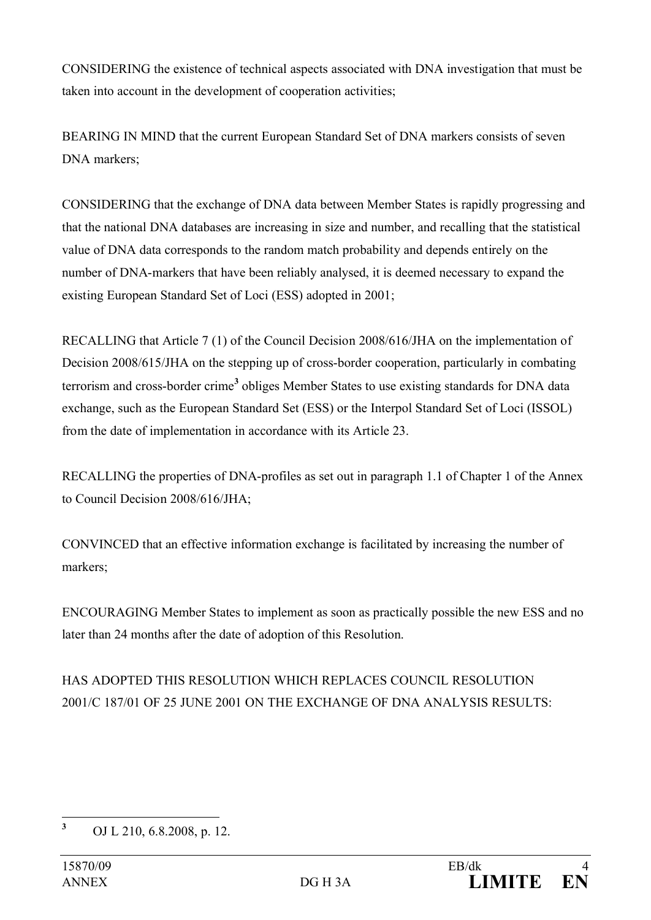CONSIDERING the existence of technical aspects associated with DNA investigation that must be taken into account in the development of cooperation activities;

BEARING IN MIND that the current European Standard Set of DNA markers consists of seven DNA markers;

CONSIDERING that the exchange of DNA data between Member States is rapidly progressing and that the national DNA databases are increasing in size and number, and recalling that the statistical value of DNA data corresponds to the random match probability and depends entirely on the number of DNA-markers that have been reliably analysed, it is deemed necessary to expand the existing European Standard Set of Loci (ESS) adopted in 2001;

RECALLING that Article 7 (1) of the Council Decision 2008/616/JHA on the implementation of Decision 2008/615/JHA on the stepping up of cross-border cooperation, particularly in combating terrorism and cross-border crime**<sup>3</sup>** obliges Member States to use existing standards for DNA data exchange, such as the European Standard Set (ESS) or the Interpol Standard Set of Loci (ISSOL) from the date of implementation in accordance with its Article 23.

RECALLING the properties of DNA-profiles as set out in paragraph 1.1 of Chapter 1 of the Annex to Council Decision 2008/616/JHA;

CONVINCED that an effective information exchange is facilitated by increasing the number of markers;

ENCOURAGING Member States to implement as soon as practically possible the new ESS and no later than 24 months after the date of adoption of this Resolution.

HAS ADOPTED THIS RESOLUTION WHICH REPLACES COUNCIL RESOLUTION 2001/C 187/01 OF 25 JUNE 2001 ON THE EXCHANGE OF DNA ANALYSIS RESULTS:

**<sup>3</sup>** OJ L 210, 6.8.2008, p. 12.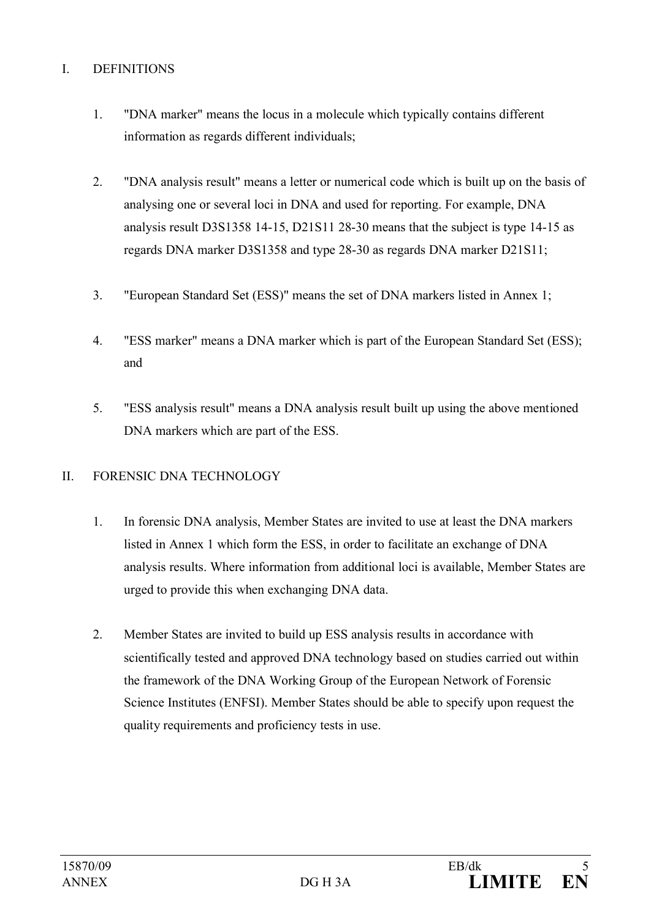# I. DEFINITIONS

- 1. "DNA marker" means the locus in a molecule which typically contains different information as regards different individuals;
- 2. "DNA analysis result" means a letter or numerical code which is built up on the basis of analysing one or several loci in DNA and used for reporting. For example, DNA analysis result D3S1358 14-15, D21S11 28-30 means that the subject is type 14-15 as regards DNA marker D3S1358 and type 28-30 as regards DNA marker D21S11;
- 3. "European Standard Set (ESS)" means the set of DNA markers listed in Annex 1;
- 4. "ESS marker" means a DNA marker which is part of the European Standard Set (ESS); and
- 5. "ESS analysis result" means a DNA analysis result built up using the above mentioned DNA markers which are part of the ESS.

## II. FORENSIC DNA TECHNOLOGY

- 1. In forensic DNA analysis, Member States are invited to use at least the DNA markers listed in Annex 1 which form the ESS, in order to facilitate an exchange of DNA analysis results. Where information from additional loci is available, Member States are urged to provide this when exchanging DNA data.
- 2. Member States are invited to build up ESS analysis results in accordance with scientifically tested and approved DNA technology based on studies carried out within the framework of the DNA Working Group of the European Network of Forensic Science Institutes (ENFSI). Member States should be able to specify upon request the quality requirements and proficiency tests in use.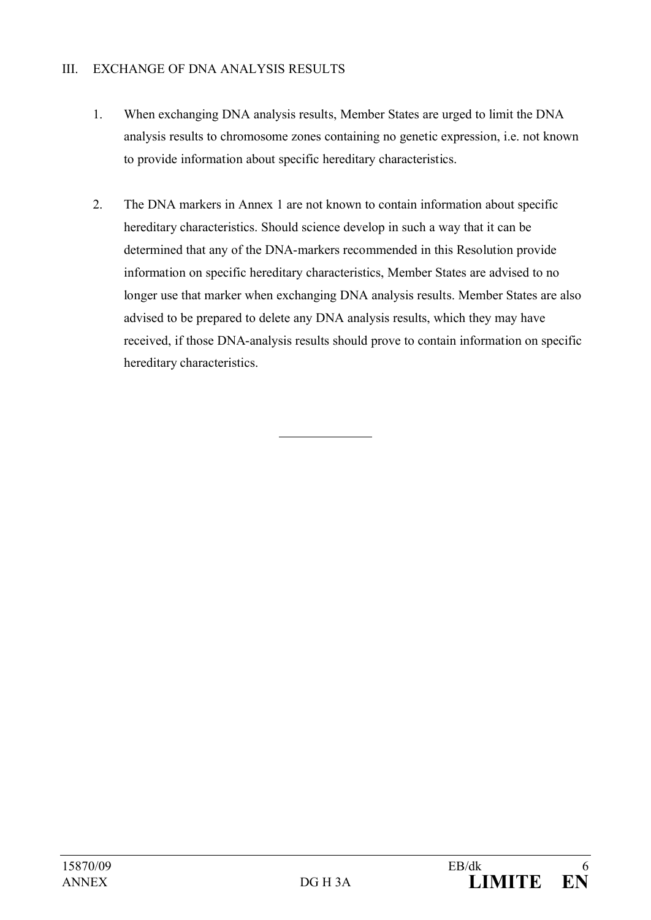# III. EXCHANGE OF DNA ANALYSIS RESULTS

- 1. When exchanging DNA analysis results, Member States are urged to limit the DNA analysis results to chromosome zones containing no genetic expression, i.e. not known to provide information about specific hereditary characteristics.
- 2. The DNA markers in Annex 1 are not known to contain information about specific hereditary characteristics. Should science develop in such a way that it can be determined that any of the DNA-markers recommended in this Resolution provide information on specific hereditary characteristics, Member States are advised to no longer use that marker when exchanging DNA analysis results. Member States are also advised to be prepared to delete any DNA analysis results, which they may have received, if those DNA-analysis results should prove to contain information on specific hereditary characteristics.